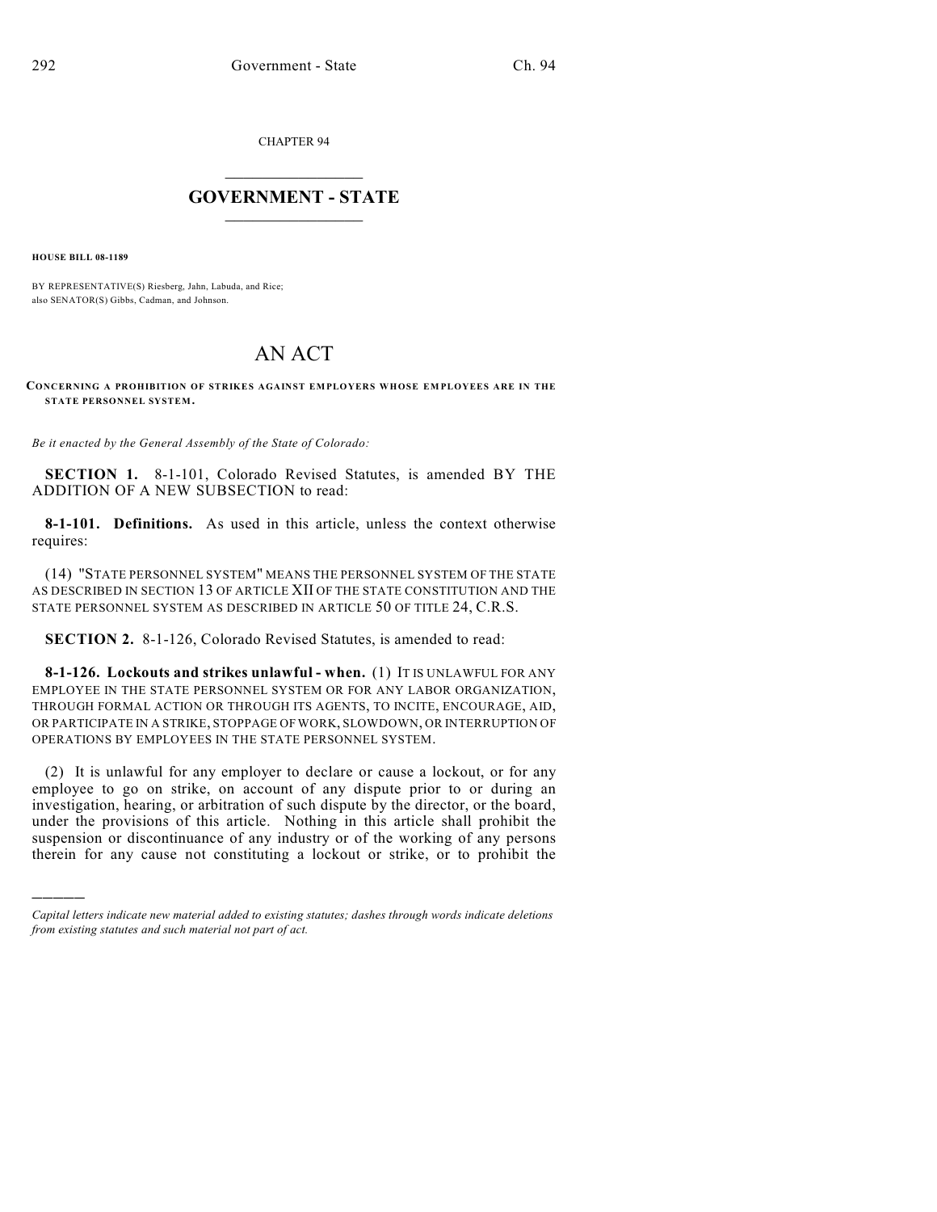CHAPTER 94

## $\overline{\phantom{a}}$  . The set of the set of the set of the set of the set of the set of the set of the set of the set of the set of the set of the set of the set of the set of the set of the set of the set of the set of the set o **GOVERNMENT - STATE**  $\_$

**HOUSE BILL 08-1189**

)))))

BY REPRESENTATIVE(S) Riesberg, Jahn, Labuda, and Rice; also SENATOR(S) Gibbs, Cadman, and Johnson.

## AN ACT

## **CONCERNING A PROHIBITION OF STRIKES AGAINST EMPLOYERS WHOSE EM PLOYEES ARE IN THE STATE PERSONNEL SYSTEM.**

*Be it enacted by the General Assembly of the State of Colorado:*

**SECTION 1.** 8-1-101, Colorado Revised Statutes, is amended BY THE ADDITION OF A NEW SUBSECTION to read:

**8-1-101. Definitions.** As used in this article, unless the context otherwise requires:

(14) "STATE PERSONNEL SYSTEM" MEANS THE PERSONNEL SYSTEM OF THE STATE AS DESCRIBED IN SECTION 13 OF ARTICLE XII OF THE STATE CONSTITUTION AND THE STATE PERSONNEL SYSTEM AS DESCRIBED IN ARTICLE 50 OF TITLE 24, C.R.S.

**SECTION 2.** 8-1-126, Colorado Revised Statutes, is amended to read:

**8-1-126. Lockouts and strikes unlawful - when.** (1) IT IS UNLAWFUL FOR ANY EMPLOYEE IN THE STATE PERSONNEL SYSTEM OR FOR ANY LABOR ORGANIZATION, THROUGH FORMAL ACTION OR THROUGH ITS AGENTS, TO INCITE, ENCOURAGE, AID, OR PARTICIPATE IN A STRIKE, STOPPAGE OF WORK, SLOWDOWN, OR INTERRUPTION OF OPERATIONS BY EMPLOYEES IN THE STATE PERSONNEL SYSTEM.

(2) It is unlawful for any employer to declare or cause a lockout, or for any employee to go on strike, on account of any dispute prior to or during an investigation, hearing, or arbitration of such dispute by the director, or the board, under the provisions of this article. Nothing in this article shall prohibit the suspension or discontinuance of any industry or of the working of any persons therein for any cause not constituting a lockout or strike, or to prohibit the

*Capital letters indicate new material added to existing statutes; dashes through words indicate deletions from existing statutes and such material not part of act.*